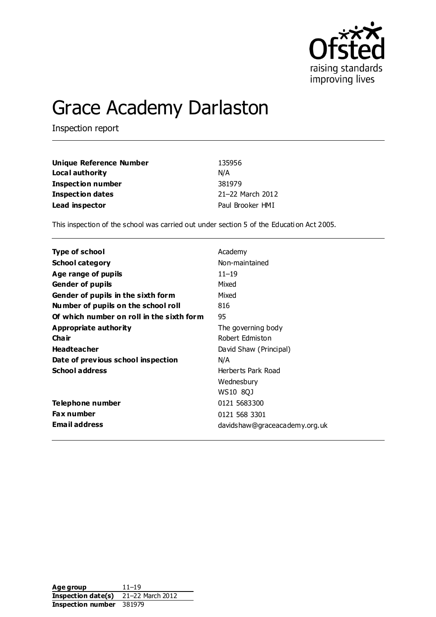

# Grace Academy Darlaston

Inspection report

| Unique Reference Number  | 135956           |
|--------------------------|------------------|
| Local authority          | N/A              |
| <b>Inspection number</b> | 381979           |
| Inspection dates         | 21-22 March 2012 |
| Lead inspector           | Paul Brooker HMI |

This inspection of the school was carried out under section 5 of the Educati on Act 2005.

| <b>Type of school</b>                     | Academy                       |
|-------------------------------------------|-------------------------------|
| <b>School category</b>                    | Non-maintained                |
| Age range of pupils                       | $11 - 19$                     |
| <b>Gender of pupils</b>                   | Mixed                         |
| Gender of pupils in the sixth form        | Mixed                         |
| Number of pupils on the school roll       | 816                           |
| Of which number on roll in the sixth form | 95                            |
| Appropriate authority                     | The governing body            |
| Cha ir                                    | Robert Edmiston               |
| <b>Headteacher</b>                        | David Shaw (Principal)        |
| Date of previous school inspection        | N/A                           |
| <b>School address</b>                     | Herberts Park Road            |
|                                           | Wednesbury                    |
|                                           | WS10 8QJ                      |
| Telephone number                          | 0121 5683300                  |
| <b>Fax number</b>                         | 0121 568 3301                 |
| <b>Email address</b>                      | davidshaw@graceacademy.org.uk |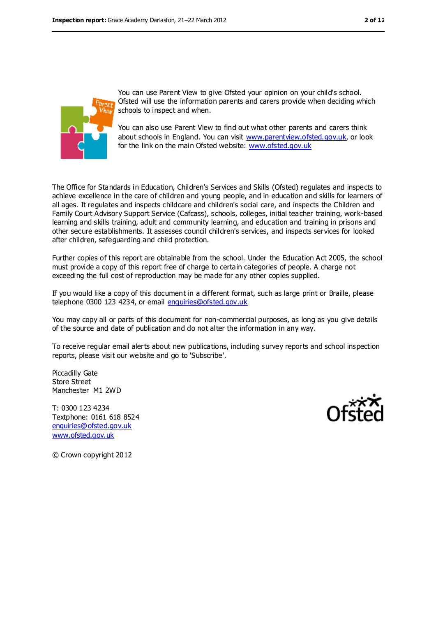

You can use Parent View to give Ofsted your opinion on your child's school. Ofsted will use the information parents and carers provide when deciding which schools to inspect and when.

You can also use Parent View to find out what other parents and carers think about schools in England. You can visit [www.parentview.ofsted.gov.uk,](file:///C:/Users/pbrooker/AppData/Local/Microsoft/Windows/Temporary%20Internet%20Files/Content.IE5/HDIUXWRU/www.parentview.ofsted.gov.uk) or look for the link on the main Ofsted website: [www.ofsted.gov.uk](file:///C:/Users/pbrooker/AppData/Local/Microsoft/Windows/Temporary%20Internet%20Files/Content.IE5/HDIUXWRU/www.ofsted.gov.uk)

The Office for Standards in Education, Children's Services and Skills (Ofsted) regulates and inspects to achieve excellence in the care of children and young people, and in education and skills for learners of all ages. It regulates and inspects childcare and children's social care, and inspects the Children and Family Court Advisory Support Service (Cafcass), schools, colleges, initial teacher training, work-based learning and skills training, adult and community learning, and education and training in prisons and other secure establishments. It assesses council children's services, and inspects services for looked after children, safeguarding and child protection.

Further copies of this report are obtainable from the school. Under the Education Act 2005, the school must provide a copy of this report free of charge to certain categories of people. A charge not exceeding the full cost of reproduction may be made for any other copies supplied.

If you would like a copy of this document in a different format, such as large print or Braille, please telephone 0300 123 4234, or email [enquiries@ofsted.gov.uk](mailto:enquiries@ofsted.gov.uk)

You may copy all or parts of this document for non-commercial purposes, as long as you give details of the source and date of publication and do not alter the information in any way.

To receive regular email alerts about new publications, including survey reports and school inspection reports, please visit our website and go to 'Subscribe'.

Piccadilly Gate Store Street Manchester M1 2WD

T: 0300 123 4234 Textphone: 0161 618 8524 [enquiries@ofsted.gov.uk](mailto:enquiries@ofsted.gov.uk) [www.ofsted.gov.uk](http://www.ofsted.gov.uk/)



© Crown copyright 2012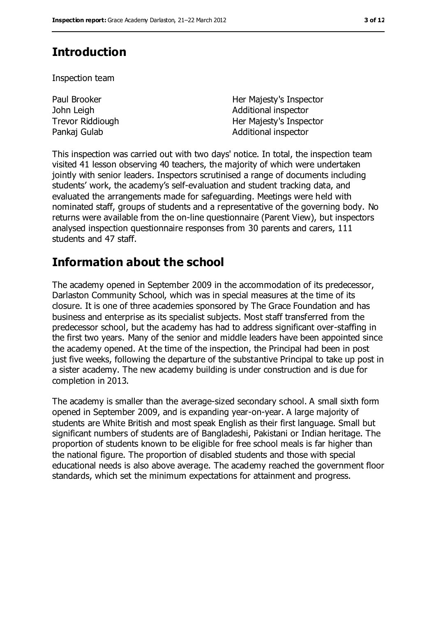# **Introduction**

Inspection team

| Paul Brooker     | Her Majesty's Inspector |
|------------------|-------------------------|
| John Leigh       | Additional inspector    |
| Trevor Riddiough | Her Majesty's Inspector |
| Pankaj Gulab     | Additional inspector    |

This inspection was carried out with two days' notice. In total, the inspection team visited 41 lesson observing 40 teachers, the majority of which were undertaken jointly with senior leaders. Inspectors scrutinised a range of documents including students' work, the academy's self-evaluation and student tracking data, and evaluated the arrangements made for safeguarding. Meetings were held with nominated staff, groups of students and a representative of the governing body. No returns were available from the on-line questionnaire (Parent View), but inspectors analysed inspection questionnaire responses from 30 parents and carers, 111 students and 47 staff.

## **Information about the school**

The academy opened in September 2009 in the accommodation of its predecessor, Darlaston Community School, which was in special measures at the time of its closure. It is one of three academies sponsored by The Grace Foundation and has business and enterprise as its specialist subjects. Most staff transferred from the predecessor school, but the academy has had to address significant over-staffing in the first two years. Many of the senior and middle leaders have been appointed since the academy opened. At the time of the inspection, the Principal had been in post just five weeks, following the departure of the substantive Principal to take up post in a sister academy. The new academy building is under construction and is due for completion in 2013.

The academy is smaller than the average-sized secondary school. A small sixth form opened in September 2009, and is expanding year-on-year. A large majority of students are White British and most speak English as their first language. Small but significant numbers of students are of Bangladeshi, Pakistani or Indian heritage. The proportion of students known to be eligible for free school meals is far higher than the national figure. The proportion of disabled students and those with special educational needs is also above average. The academy reached the government floor standards, which set the minimum expectations for attainment and progress.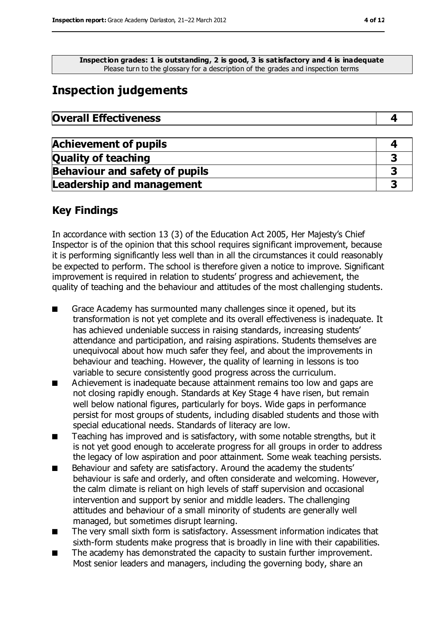**Inspection grades: 1 is outstanding, 2 is good, 3 is satisfactory and 4 is inadequate** Please turn to the glossary for a description of the grades and inspection terms

# **Inspection judgements**

| <b>Overall Effectiveness</b> |  |
|------------------------------|--|
|------------------------------|--|

| <b>Achievement of pupils</b>          |  |
|---------------------------------------|--|
| <b>Quality of teaching</b>            |  |
| <b>Behaviour and safety of pupils</b> |  |
| <b>Leadership and management</b>      |  |

### **Key Findings**

In accordance with section 13 (3) of the Education Act 2005, Her Majesty's Chief Inspector is of the opinion that this school requires significant improvement, because it is performing significantly less well than in all the circumstances it could reasonably be expected to perform. The school is therefore given a notice to improve. Significant improvement is required in relation to students' progress and achievement, the quality of teaching and the behaviour and attitudes of the most challenging students.

- Grace Academy has surmounted many challenges since it opened, but its transformation is not yet complete and its overall effectiveness is inadequate. It has achieved undeniable success in raising standards, increasing students' attendance and participation, and raising aspirations. Students themselves are unequivocal about how much safer they feel, and about the improvements in behaviour and teaching. However, the quality of learning in lessons is too variable to secure consistently good progress across the curriculum.
- Achievement is inadequate because attainment remains too low and gaps are not closing rapidly enough. Standards at Key Stage 4 have risen, but remain well below national figures, particularly for boys. Wide gaps in performance persist for most groups of students, including disabled students and those with special educational needs. Standards of literacy are low.
- Teaching has improved and is satisfactory, with some notable strengths, but it is not yet good enough to accelerate progress for all groups in order to address the legacy of low aspiration and poor attainment. Some weak teaching persists.
- Behaviour and safety are satisfactory. Around the academy the students' behaviour is safe and orderly, and often considerate and welcoming. However, the calm climate is reliant on high levels of staff supervision and occasional intervention and support by senior and middle leaders. The challenging attitudes and behaviour of a small minority of students are generally well managed, but sometimes disrupt learning.
- The very small sixth form is satisfactory. Assessment information indicates that sixth-form students make progress that is broadly in line with their capabilities.
- The academy has demonstrated the capacity to sustain further improvement. Most senior leaders and managers, including the governing body, share an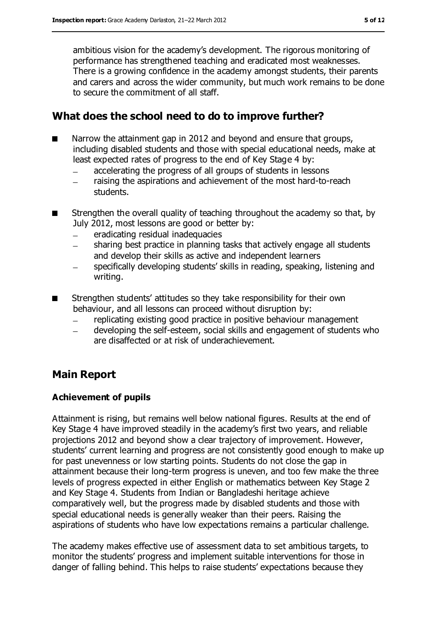ambitious vision for the academy's development. The rigorous monitoring of performance has strengthened teaching and eradicated most weaknesses. There is a growing confidence in the academy amongst students, their parents and carers and across the wider community, but much work remains to be done to secure the commitment of all staff.

### **What does the school need to do to improve further?**

- Narrow the attainment gap in 2012 and beyond and ensure that groups, including disabled students and those with special educational needs, make at least expected rates of progress to the end of Key Stage 4 by:
	- accelerating the progress of all groups of students in lessons  $\equiv$
	- raising the aspirations and achievement of the most hard-to-reach  $\frac{1}{2}$ students.
- Strengthen the overall quality of teaching throughout the academy so that, by July 2012, most lessons are good or better by:
	- eradicating residual inadequacies
	- sharing best practice in planning tasks that actively engage all students  $\overline{\phantom{a}}$ and develop their skills as active and independent learners
	- specifically developing students' skills in reading, speaking, listening and writing.
- Strengthen students' attitudes so they take responsibility for their own behaviour, and all lessons can proceed without disruption by:
	- replicating existing good practice in positive behaviour management
	- developing the self-esteem, social skills and engagement of students who  $\overline{\phantom{0}}$ are disaffected or at risk of underachievement.

### **Main Report**

#### **Achievement of pupils**

Attainment is rising, but remains well below national figures. Results at the end of Key Stage 4 have improved steadily in the academy's first two years, and reliable projections 2012 and beyond show a clear trajectory of improvement. However, students' current learning and progress are not consistently good enough to make up for past unevenness or low starting points. Students do not close the gap in attainment because their long-term progress is uneven, and too few make the three levels of progress expected in either English or mathematics between Key Stage 2 and Key Stage 4. Students from Indian or Bangladeshi heritage achieve comparatively well, but the progress made by disabled students and those with special educational needs is generally weaker than their peers. Raising the aspirations of students who have low expectations remains a particular challenge.

The academy makes effective use of assessment data to set ambitious targets, to monitor the students' progress and implement suitable interventions for those in danger of falling behind. This helps to raise students' expectations because they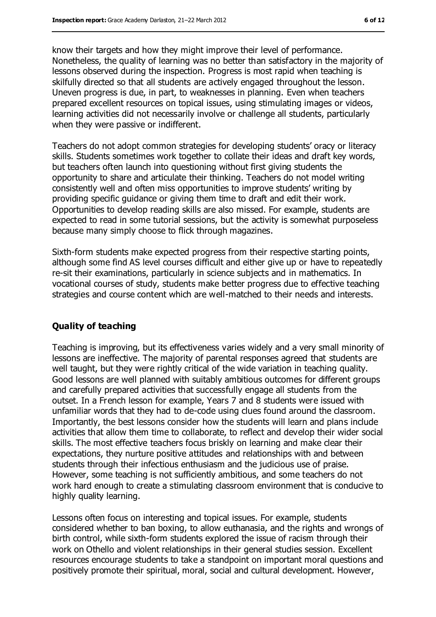know their targets and how they might improve their level of performance. Nonetheless, the quality of learning was no better than satisfactory in the majority of lessons observed during the inspection. Progress is most rapid when teaching is skilfully directed so that all students are actively engaged throughout the lesson. Uneven progress is due, in part, to weaknesses in planning. Even when teachers prepared excellent resources on topical issues, using stimulating images or videos, learning activities did not necessarily involve or challenge all students, particularly when they were passive or indifferent.

Teachers do not adopt common strategies for developing students' oracy or literacy skills. Students sometimes work together to collate their ideas and draft key words, but teachers often launch into questioning without first giving students the opportunity to share and articulate their thinking. Teachers do not model writing consistently well and often miss opportunities to improve students' writing by providing specific guidance or giving them time to draft and edit their work. Opportunities to develop reading skills are also missed. For example, students are expected to read in some tutorial sessions, but the activity is somewhat purposeless because many simply choose to flick through magazines.

Sixth-form students make expected progress from their respective starting points, although some find AS level courses difficult and either give up or have to repeatedly re-sit their examinations, particularly in science subjects and in mathematics. In vocational courses of study, students make better progress due to effective teaching strategies and course content which are well-matched to their needs and interests.

#### **Quality of teaching**

Teaching is improving, but its effectiveness varies widely and a very small minority of lessons are ineffective. The majority of parental responses agreed that students are well taught, but they were rightly critical of the wide variation in teaching quality. Good lessons are well planned with suitably ambitious outcomes for different groups and carefully prepared activities that successfully engage all students from the outset. In a French lesson for example, Years 7 and 8 students were issued with unfamiliar words that they had to de-code using clues found around the classroom. Importantly, the best lessons consider how the students will learn and plans include activities that allow them time to collaborate, to reflect and develop their wider social skills. The most effective teachers focus briskly on learning and make clear their expectations, they nurture positive attitudes and relationships with and between students through their infectious enthusiasm and the judicious use of praise. However, some teaching is not sufficiently ambitious, and some teachers do not work hard enough to create a stimulating classroom environment that is conducive to highly quality learning.

Lessons often focus on interesting and topical issues. For example, students considered whether to ban boxing, to allow euthanasia, and the rights and wrongs of birth control, while sixth-form students explored the issue of racism through their work on Othello and violent relationships in their general studies session. Excellent resources encourage students to take a standpoint on important moral questions and positively promote their spiritual, moral, social and cultural development. However,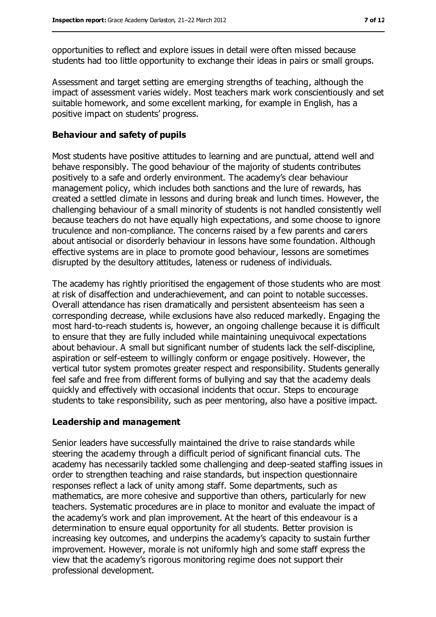opportunities to reflect and explore issues in detail were often missed because students had too little opportunity to exchange their ideas in pairs or small groups.

Assessment and target setting are emerging strengths of teaching, although the impact of assessment varies widely. Most teachers mark work conscientiously and set suitable homework, and some excellent marking, for example in English, has a positive impact on students' progress.

#### **Behaviour and safety of pupils**

Most students have positive attitudes to learning and are punctual, attend well and behave responsibly. The good behaviour of the majority of students contributes positively to a safe and orderly environment. The academy's clear behaviour management policy, which includes both sanctions and the lure of rewards, has created a settled climate in lessons and during break and lunch times. However, the challenging behaviour of a small minority of students is not handled consistently well because teachers do not have equally high expectations, and some choose to ignore truculence and non-compliance. The concerns raised by a few parents and carers about antisocial or disorderly behaviour in lessons have some foundation. Although effective systems are in place to promote good behaviour, lessons are sometimes disrupted by the desultory attitudes, lateness or rudeness of individuals.

The academy has rightly prioritised the engagement of those students who are most at risk of disaffection and underachievement, and can point to notable successes. Overall attendance has risen dramatically and persistent absenteeism has seen a corresponding decrease, while exclusions have also reduced markedly. Engaging the most hard-to-reach students is, however, an ongoing challenge because it is difficult to ensure that they are fully included while maintaining unequivocal expectations about behaviour. A small but significant number of students lack the self-discipline, aspiration or self-esteem to willingly conform or engage positively. However, the vertical tutor system promotes greater respect and responsibility. Students generally feel safe and free from different forms of bullying and say that the academy deals quickly and effectively with occasional incidents that occur. Steps to encourage students to take responsibility, such as peer mentoring, also have a positive impact.

#### **Leadership and management**

Senior leaders have successfully maintained the drive to raise standards while steering the academy through a difficult period of significant financial cuts. The academy has necessarily tackled some challenging and deep-seated staffing issues in order to strengthen teaching and raise standards, but inspection questionnaire responses reflect a lack of unity among staff. Some departments, such as mathematics, are more cohesive and supportive than others, particularly for new teachers. Systematic procedures are in place to monitor and evaluate the impact of the academy's work and plan improvement. At the heart of this endeavour is a determination to ensure equal opportunity for all students. Better provision is increasing key outcomes, and underpins the academy's capacity to sustain further improvement. However, morale is not uniformly high and some staff express the view that the academy's rigorous monitoring regime does not support their professional development.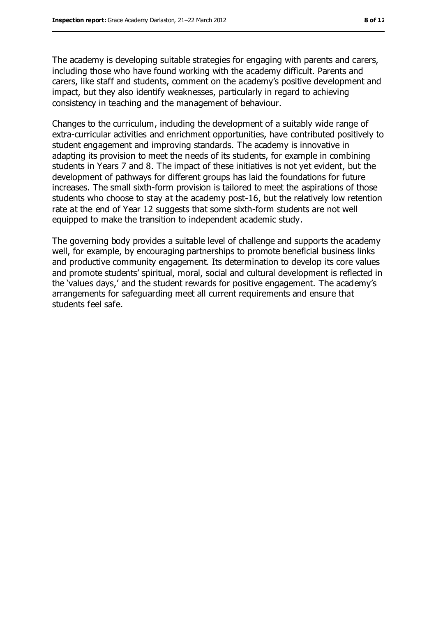The academy is developing suitable strategies for engaging with parents and carers, including those who have found working with the academy difficult. Parents and carers, like staff and students, comment on the academy's positive development and impact, but they also identify weaknesses, particularly in regard to achieving consistency in teaching and the management of behaviour.

Changes to the curriculum, including the development of a suitably wide range of extra-curricular activities and enrichment opportunities, have contributed positively to student engagement and improving standards. The academy is innovative in adapting its provision to meet the needs of its students, for example in combining students in Years 7 and 8. The impact of these initiatives is not yet evident, but the development of pathways for different groups has laid the foundations for future increases. The small sixth-form provision is tailored to meet the aspirations of those students who choose to stay at the academy post-16, but the relatively low retention rate at the end of Year 12 suggests that some sixth-form students are not well equipped to make the transition to independent academic study.

The governing body provides a suitable level of challenge and supports the academy well, for example, by encouraging partnerships to promote beneficial business links and productive community engagement. Its determination to develop its core values and promote students' spiritual, moral, social and cultural development is reflected in the 'values days,' and the student rewards for positive engagement. The academy's arrangements for safeguarding meet all current requirements and ensure that students feel safe.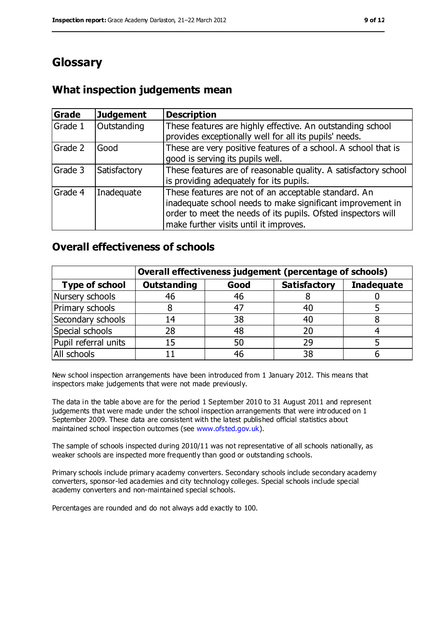# **Glossary**

### **What inspection judgements mean**

| Grade   | <b>Judgement</b> | <b>Description</b>                                                                                                                                                                                                            |
|---------|------------------|-------------------------------------------------------------------------------------------------------------------------------------------------------------------------------------------------------------------------------|
| Grade 1 | Outstanding      | These features are highly effective. An outstanding school<br>provides exceptionally well for all its pupils' needs.                                                                                                          |
| Grade 2 | Good             | These are very positive features of a school. A school that is<br>good is serving its pupils well.                                                                                                                            |
| Grade 3 | Satisfactory     | These features are of reasonable quality. A satisfactory school<br>is providing adequately for its pupils.                                                                                                                    |
| Grade 4 | Inadequate       | These features are not of an acceptable standard. An<br>inadequate school needs to make significant improvement in<br>order to meet the needs of its pupils. Ofsted inspectors will<br>make further visits until it improves. |

### **Overall effectiveness of schools**

|                       | Overall effectiveness judgement (percentage of schools) |      |                     |                   |
|-----------------------|---------------------------------------------------------|------|---------------------|-------------------|
| <b>Type of school</b> | <b>Outstanding</b>                                      | Good | <b>Satisfactory</b> | <b>Inadequate</b> |
| Nursery schools       | 46                                                      | 46   |                     |                   |
| Primary schools       | 8                                                       | 47   | 40                  |                   |
| Secondary schools     | 14                                                      | 38   | 40                  |                   |
| Special schools       | 28                                                      | 48   |                     |                   |
| Pupil referral units  | 15                                                      | 50   | 29                  |                   |
| All schools           |                                                         | 46   | 38                  |                   |

New school inspection arrangements have been introduced from 1 January 2012. This means that inspectors make judgements that were not made previously.

The data in the table above are for the period 1 September 2010 to 31 August 2011 and represent judgements that were made under the school inspection arrangements that were introduced on 1 September 2009. These data are consistent with the latest published official statistics about maintained school inspection outcomes (see [www.ofsted.gov.uk\)](file:///C:/Users/pbrooker/AppData/Local/Microsoft/Windows/Temporary%20Internet%20Files/Content.IE5/HDIUXWRU/www.ofsted.gov.uk).

The sample of schools inspected during 2010/11 was not representative of all schools nationally, as weaker schools are inspected more frequently than good or outstanding schools.

Primary schools include primary academy converters. Secondary schools include secondary academy converters, sponsor-led academies and city technology colleges. Special schools include special academy converters and non-maintained special schools.

Percentages are rounded and do not always add exactly to 100.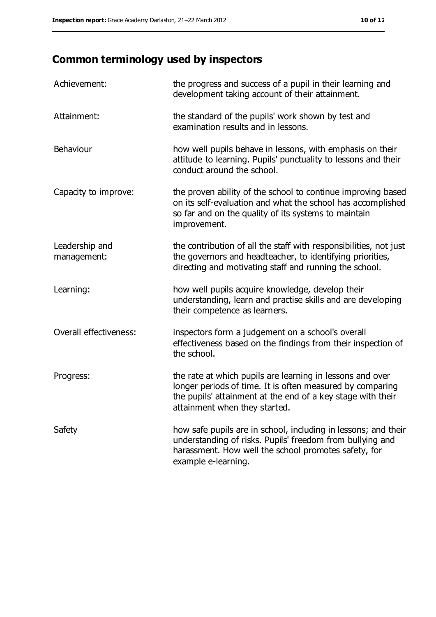# **Common terminology used by inspectors**

| Achievement:                  | the progress and success of a pupil in their learning and<br>development taking account of their attainment.                                                                                                           |
|-------------------------------|------------------------------------------------------------------------------------------------------------------------------------------------------------------------------------------------------------------------|
| Attainment:                   | the standard of the pupils' work shown by test and<br>examination results and in lessons.                                                                                                                              |
| Behaviour                     | how well pupils behave in lessons, with emphasis on their<br>attitude to learning. Pupils' punctuality to lessons and their<br>conduct around the school.                                                              |
| Capacity to improve:          | the proven ability of the school to continue improving based<br>on its self-evaluation and what the school has accomplished<br>so far and on the quality of its systems to maintain<br>improvement.                    |
| Leadership and<br>management: | the contribution of all the staff with responsibilities, not just<br>the governors and headteacher, to identifying priorities,<br>directing and motivating staff and running the school.                               |
| Learning:                     | how well pupils acquire knowledge, develop their<br>understanding, learn and practise skills and are developing<br>their competence as learners.                                                                       |
| Overall effectiveness:        | inspectors form a judgement on a school's overall<br>effectiveness based on the findings from their inspection of<br>the school.                                                                                       |
| Progress:                     | the rate at which pupils are learning in lessons and over<br>longer periods of time. It is often measured by comparing<br>the pupils' attainment at the end of a key stage with their<br>attainment when they started. |
| Safety                        | how safe pupils are in school, including in lessons; and their<br>understanding of risks. Pupils' freedom from bullying and<br>harassment. How well the school promotes safety, for<br>example e-learning.             |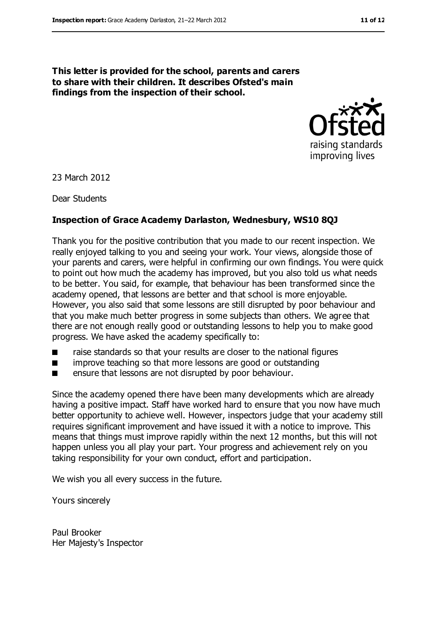**This letter is provided for the school, parents and carers to share with their children. It describes Ofsted's main findings from the inspection of their school.**



23 March 2012

Dear Students

#### **Inspection of Grace Academy Darlaston, Wednesbury, WS10 8QJ**

Thank you for the positive contribution that you made to our recent inspection. We really enjoyed talking to you and seeing your work. Your views, alongside those of your parents and carers, were helpful in confirming our own findings. You were quick to point out how much the academy has improved, but you also told us what needs to be better. You said, for example, that behaviour has been transformed since the academy opened, that lessons are better and that school is more enjoyable. However, you also said that some lessons are still disrupted by poor behaviour and that you make much better progress in some subjects than others. We agree that there are not enough really good or outstanding lessons to help you to make good progress. We have asked the academy specifically to:

- raise standards so that your results are closer to the national figures
- improve teaching so that more lessons are good or outstanding
- ensure that lessons are not disrupted by poor behaviour.

Since the academy opened there have been many developments which are already having a positive impact. Staff have worked hard to ensure that you now have much better opportunity to achieve well. However, inspectors judge that your academy still requires significant improvement and have issued it with a notice to improve. This means that things must improve rapidly within the next 12 months, but this will not happen unless you all play your part. Your progress and achievement rely on you taking responsibility for your own conduct, effort and participation.

We wish you all every success in the future.

Yours sincerely

Paul Brooker Her Majesty's Inspector